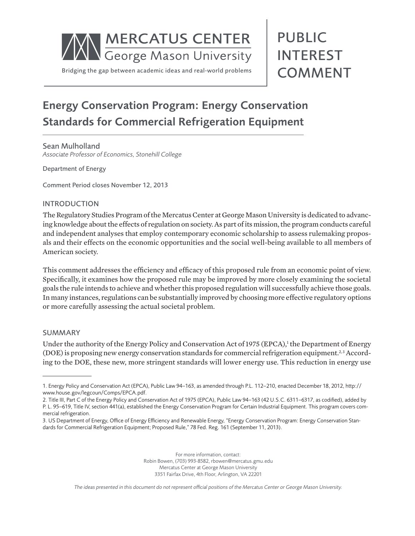

# Energy Conservation Program: Energy Conservation Standards for Commercial Refrigeration Equipment

Sean Mulholland *Associate Professor of Economics, Stonehill College*

Department of Energy

Comment Period closes November 12, 2013

#### INTRODUCTION

The Regulatory Studies Program of the Mercatus Center at George Mason University is dedicated to advancing knowledge about the effects of regulation on society. As part of its mission, the program conducts careful and independent analyses that employ contemporary economic scholarship to assess rulemaking proposals and their effects on the economic opportunities and the social well-being available to all members of American society.

This comment addresses the efficiency and efficacy of this proposed rule from an economic point of view. Specifically, it examines how the proposed rule may be improved by more closely examining the societal goals the rule intends to achieve and whether this proposed regulation will successfully achieve those goals. In many instances, regulations can be substantially improved by choosing more effective regulatory options or more carefully assessing the actual societal problem.

#### SUMMARY

Under the authority of the Energy Policy and Conservation Act of 1975 (EPCA),<sup>1</sup> the Department of Energy (DOE) is proposing new energy conservation standards for commercial refrigeration equipment.<sup>2,3</sup> According to the DOE, these new, more stringent standards will lower energy use. This reduction in energy use

For more information, contact: Robin Bowen, (703) 993-8582, rbowen@mercatus.gmu.edu Mercatus Center at George Mason University 3351 Fairfax Drive, 4th Floor, Arlington, VA 22201

*The ideas presented in this document do not represent official positions of the Mercatus Center or George Mason University.*

<sup>1.</sup> Energy Policy and Conservation Act (EPCA), Public Law 94–163, as amended through P.L. 112–210, enacted December 18, 2012, http:// www.house.gov/legcoun/Comps/EPCA.pdf.

<sup>2.</sup> Title III, Part C of the Energy Policy and Conservation Act of 1975 (EPCA), Public Law 94–163 (42 U.S.C. 6311–6317, as codified), added by P. L. 95–619, Title IV, section 441(a), established the Energy Conservation Program for Certain Industrial Equipment. This program covers commercial refrigeration.

<sup>3.</sup> US Department of Energy, Office of Energy Efficiency and Renewable Energy, "Energy Conservation Program: Energy Conservation Standards for Commercial Refrigeration Equipment; Proposed Rule," 78 Fed. Reg. 161 (September 11, 2013).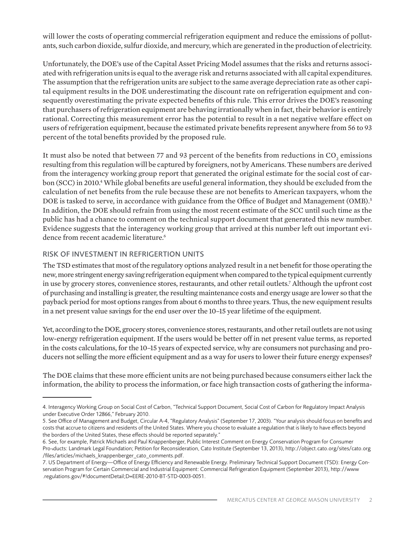will lower the costs of operating commercial refrigeration equipment and reduce the emissions of pollutants, such carbon dioxide, sulfur dioxide, and mercury, which are generated in the production of electricity.

Unfortunately, the DOE's use of the Capital Asset Pricing Model assumes that the risks and returns associated with refrigeration units is equal to the average risk and returns associated with all capital expenditures. The assumption that the refrigeration units are subject to the same average depreciation rate as other capital equipment results in the DOE underestimating the discount rate on refrigeration equipment and consequently overestimating the private expected benefits of this rule. This error drives the DOE's reasoning that purchasers of refrigeration equipment are behaving irrationally when in fact, their behavior is entirely rational. Correcting this measurement error has the potential to result in a net negative welfare effect on users of refrigeration equipment, because the estimated private benefits represent anywhere from 56 to 93 percent of the total benefits provided by the proposed rule.

It must also be noted that between 77 and 93 percent of the benefits from reductions in CO<sub>2</sub> emissions resulting from this regulation will be captured by foreigners, not by Americans. These numbers are derived from the interagency working group report that generated the original estimate for the social cost of carbon (SCC) in 2010.<sup>4</sup> While global benefits are useful general information, they should be excluded from the calculation of net benefits from the rule because these are not benefits to American taxpayers, whom the DOE is tasked to serve, in accordance with guidance from the Office of Budget and Management (OMB).<sup>5</sup> In addition, the DOE should refrain from using the most recent estimate of the SCC until such time as the public has had a chance to comment on the technical support document that generated this new number. Evidence suggests that the interagency working group that arrived at this number left out important evidence from recent academic literature.<sup>6</sup>

## RISK OF INVESTMENT IN REFRIGERTION UNITS

The TSD estimates that most of the regulatory options analyzed result in a net benefit for those operating the new, more stringent energy saving refrigeration equipment when compared to the typical equipment currently in use by grocery stores, convenience stores, restaurants, and other retail outlets.7 Although the upfront cost of purchasing and installing is greater, the resulting maintenance costs and energy usage are lower so that the payback period for most options ranges from about 6 months to three years. Thus, the new equipment results in a net present value savings for the end user over the 10–15 year lifetime of the equipment.

Yet, according to the DOE, grocery stores, convenience stores, restaurants, and other retail outlets are not using low-energy refrigeration equipment. If the users would be better off in net present value terms, as reported in the costs calculations, for the 10–15 years of expected service, why are consumers not purchasing and producers not selling the more efficient equipment and as a way for users to lower their future energy expenses?

The DOE claims that these more efficient units are not being purchased because consumers either lack the information, the ability to process the information, or face high transaction costs of gathering the informa-

<sup>4.</sup> Interagency Working Group on Social Cost of Carbon, "Technical Support Document, Social Cost of Carbon for Regulatory Impact Analysis under Executive Order 12866," February 2010.

<sup>5.</sup> See Office of Management and Budget, Circular A-4, "Regulatory Analysis" (September 17, 2003). "Your analysis should focus on benefits and costs that accrue to citizens and residents of the United States. Where you choose to evaluate a regulation that is likely to have effects beyond the borders of the United States, these effects should be reported separately."

<sup>6.</sup> See, for example, Patrick Michaels and Paul Knappenberger, Public Interest Comment on Energy Conservation Program for Consumer Pro¬ducts: Landmark Legal Foundation; Petition for Reconsideration, Cato Institute (September 13, 2013), http://object.cato.org/sites/cato.org /files/articles/michaels\_knappenberger\_cato\_comments.pdf.

<sup>7.</sup> US Department of Energy—Office of Energy Efficiency and Renewable Energy. Preliminary Technical Support Document (TSD): Energy Conservation Program for Certain Commercial and Industrial Equipment: Commercial Refrigeration Equipment (September 2013), http://www .regulations.gov/#!documentDetail;D=EERE-2010-BT-STD-0003-0051.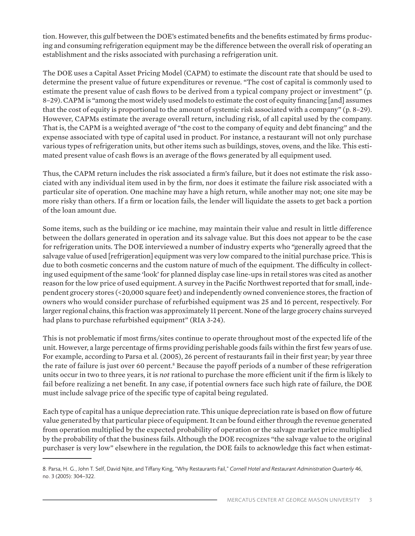tion. However, this gulf between the DOE's estimated benefits and the benefits estimated by firms producing and consuming refrigeration equipment may be the difference between the overall risk of operating an establishment and the risks associated with purchasing a refrigeration unit.

The DOE uses a Capital Asset Pricing Model (CAPM) to estimate the discount rate that should be used to determine the present value of future expenditures or revenue. "The cost of capital is commonly used to estimate the present value of cash flows to be derived from a typical company project or investment" (p. 8–29). CAPM is "among the most widely used models to estimate the cost of equity financing [and] assumes that the cost of equity is proportional to the amount of systemic risk associated with a company" (p. 8–29). However, CAPMs estimate the average overall return, including risk, of all capital used by the company. That is, the CAPM is a weighted average of "the cost to the company of equity and debt financing" and the expense associated with type of capital used in product. For instance, a restaurant will not only purchase various types of refrigeration units, but other items such as buildings, stoves, ovens, and the like. This estimated present value of cash flows is an average of the flows generated by all equipment used.

Thus, the CAPM return includes the risk associated a firm's failure, but it does not estimate the risk associated with any individual item used in by the firm, nor does it estimate the failure risk associated with a particular site of operation. One machine may have a high return, while another may not; one site may be more risky than others. If a firm or location fails, the lender will liquidate the assets to get back a portion of the loan amount due.

Some items, such as the building or ice machine, may maintain their value and result in little difference between the dollars generated in operation and its salvage value. But this does not appear to be the case for refrigeration units. The DOE interviewed a number of industry experts who "generally agreed that the salvage value of used [refrigeration] equipment was very low compared to the initial purchase price. This is due to both cosmetic concerns and the custom nature of much of the equipment. The difficulty in collecting used equipment of the same 'look' for planned display case line-ups in retail stores was cited as another reason for the low price of used equipment. A survey in the Pacific Northwest reported that for small, independent grocery stores (<20,000 square feet) and independently owned convenience stores, the fraction of owners who would consider purchase of refurbished equipment was 25 and 16 percent, respectively. For larger regional chains, this fraction was approximately 11 percent. None of the large grocery chains surveyed had plans to purchase refurbished equipment" (RIA 3-24).

This is not problematic if most firms/sites continue to operate throughout most of the expected life of the unit. However, a large percentage of firms providing perishable goods fails within the first few years of use. For example, according to Parsa et al. (2005), 26 percent of restaurants fail in their first year; by year three the rate of failure is just over 60 percent.<sup>8</sup> Because the payoff periods of a number of these refrigeration units occur in two to three years, it is *not* rational to purchase the more efficient unit if the firm is likely to fail before realizing a net benefit. In any case, if potential owners face such high rate of failure, the DOE must include salvage price of the specific type of capital being regulated.

Each type of capital has a unique depreciation rate. This unique depreciation rate is based on flow of future value generated by that particular piece of equipment. It can be found either through the revenue generated from operation multiplied by the expected probability of operation or the salvage market price multiplied by the probability of that the business fails. Although the DOE recognizes "the salvage value to the original purchaser is very low" elsewhere in the regulation, the DOE fails to acknowledge this fact when estimat-

<sup>8.</sup> Parsa, H. G., John T. Self, David Njite, and Tiffany King, "Why Restaurants Fail," *Cornell Hotel and Restaurant Administration Quarterly* 46, no. 3 (2005): 304–322.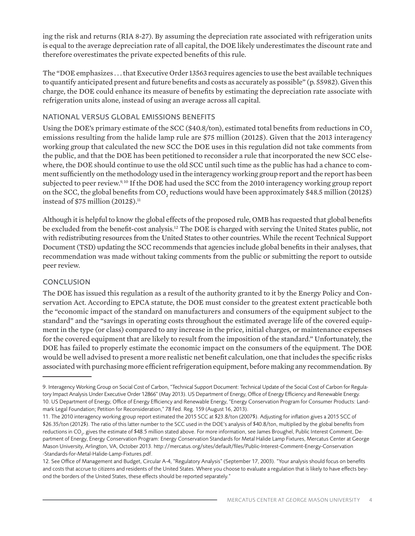ing the risk and returns (RIA 8-27). By assuming the depreciation rate associated with refrigeration units is equal to the average depreciation rate of all capital, the DOE likely underestimates the discount rate and therefore overestimates the private expected benefits of this rule.

The "DOE emphasizes . . . that Executive Order 13563 requires agencies to use the best available techniques to quantify anticipated present and future benefits and costs as accurately as possible" (p. 55982). Given this charge, the DOE could enhance its measure of benefits by estimating the depreciation rate associate with refrigeration units alone, instead of using an average across all capital.

## NATIONAL VERSUS GLOBAL EMISSIONS BENEFITS

Using the DOE's primary estimate of the SCC (\$40.8/ton), estimated total benefits from reductions in  $CO<sub>2</sub>$ emissions resulting from the halide lamp rule are \$75 million (2012\$). Given that the 2013 interagency working group that calculated the new SCC the DOE uses in this regulation did not take comments from the public, and that the DOE has been petitioned to reconsider a rule that incorporated the new SCC elsewhere, the DOE should continue to use the old SCC until such time as the public has had a chance to comment sufficiently on the methodology used in the interagency working group report and the report has been subjected to peer review.<sup>9, 10</sup> If the DOE had used the SCC from the 2010 interagency working group report on the SCC, the global benefits from CO<sub>2</sub> reductions would have been approximately \$48.5 million (2012\$) instead of \$75 million  $(2012\$ {5}).<sup>11</sup>

Although it is helpful to know the global effects of the proposed rule, OMB has requested that global benefits be excluded from the benefit-cost analysis.<sup>12</sup> The DOE is charged with serving the United States public, not with redistributing resources from the United States to other countries. While the recent Technical Support Document (TSD) updating the SCC recommends that agencies include global benefits in their analyses, that recommendation was made without taking comments from the public or submitting the report to outside peer review.

### **CONCLUSION**

The DOE has issued this regulation as a result of the authority granted to it by the Energy Policy and Conservation Act. According to EPCA statute, the DOE must consider to the greatest extent practicable both the "economic impact of the standard on manufacturers and consumers of the equipment subject to the standard" and the "savings in operating costs throughout the estimated average life of the covered equipment in the type (or class) compared to any increase in the price, initial charges, or maintenance expenses for the covered equipment that are likely to result from the imposition of the standard." Unfortunately, the DOE has failed to properly estimate the economic impact on the consumers of the equipment. The DOE would be well advised to present a more realistic net benefit calculation, one that includes the specific risks associated with purchasing more efficient refrigeration equipment, before making any recommendation. By

<sup>9.</sup> Interagency Working Group on Social Cost of Carbon, "Technical Support Document: Technical Update of the Social Cost of Carbon for Regulatory Impact Analysis Under Executive Order 12866" (May 2013). US Department of Energy, Office of Energy Efficiency and Renewable Energy. 10. US Department of Energy, Office of Energy Efficiency and Renewable Energy, "Energy Conservation Program for Consumer Products: Landmark Legal Foundation; Petition for Reconsideration," 78 Fed. Reg. 159 (August 16, 2013).

<sup>11.</sup> The 2010 interagency working group report estimated the 2015 SCC at \$23.8/ton (2007\$). Adjusting for inflation gives a 2015 SCC of \$26.35/ton (2012\$). The ratio of this latter number to the SCC used in the DOE's analysis of \$40.8/ton, multiplied by the global benefits from reductions in CO<sub>2</sub>, gives the estimate of \$48.5 million stated above. For more information, see James Broughel, Public Interest Comment, Department of Energy, Energy Conservation Program: Energy Conservation Standards for Metal Halide Lamp Fixtures, Mercatus Center at George Mason University, Arlington, VA, October 2013. http://mercatus.org/sites/default/files/Public-Interest-Comment-Energy-Conservation -Standards-for-Metal-Halide-Lamp-Fixtures.pdf.

<sup>12.</sup> See Office of Management and Budget, Circular A-4, "Regulatory Analysis" (September 17, 2003). "Your analysis should focus on benefits and costs that accrue to citizens and residents of the United States. Where you choose to evaluate a regulation that is likely to have effects beyond the borders of the United States, these effects should be reported separately."